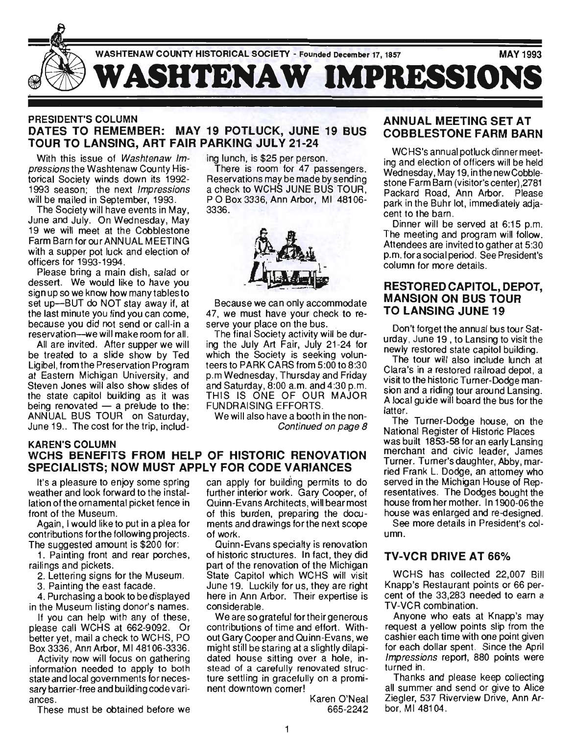

## PRESIDENT'S COLUMN DATES TO REMEMBER: MAY 19 POTLUCK, JUNE 19 BUS TOUR TO LANSING, ART FAIR PARKING JULY 21-24

With this issue of Washtenaw Impressions the Washtenaw County Historical Society winds down its 1992- 1993 season; the next *Impressions* will be mailed in September, 1993.

The Society will have events in May, June and July. On Wednesday, May 19 we will meet at the Cobblestone Farm Barn for our ANNUAL MEETING with a supper pot luck and election of officers for 1993-1994.

Please bring a main dish, salad or dessert. We would like to have you sign up so we know how many tables to set up-BUT do NOT stay away if, at the last minute you find you can come, because you did not send or call-in a reservation-we will make room for all.

All are invited. After supper we will be treated to a slide show by Ted Ligibel, from the Preservation Program at Eastern Michigan University, and Steven Jones will also show slides of the state capitol building as it was being renovated  $-$  a prelude to the: ANNUAL BUS TOUR on Saturday, June 19.. The cost for the trip, including lunch, is \$25 per person.

There is room for 47 passengers. Reservations may be made by sending a check to WCHS JUNE BUS TOUR , POBox 3336, Ann Arbor, MI 48106- 3336.



Because we can only accommodate 47, we must have your check to reserve your place on the bus.

The final Society activity will be during the July Art Fair, July 21-24 for which the Society is seeking volunteers to PARK CARS from 5:00 to 8:30 p.m Wednesday, Thursday and Friday and Saturday, 8:00 a.m. and 4:30 p.m. THIS IS ONE OF OUR MAJOR FUNDRAISING EFFORTS.

We will also have a booth in the non-Continued on page 8

#### KAREN'S COLUMN WCHS BENEFITS FROM HELP OF HISTORIC RENOVATION SPECIALISTS; NOW MUST APPLY FOR CODE VARIANCES

It's a pleasure to enjoy some spring weather and look forward to the installation of the ornamental picket fence in front of the Museum.

Again , I would like to put in a plea for contributions forthe following projects. The suggested amount is \$200 for:

1. Painting front and rear porches, railings and pickets.

2. Lettering signs for the Museum.

3. Painting the east facade.

4. Purchasing a book to be displayed in the Museum listing donor's names.

If you can help with any of these, please call WCHS at 662-9092. Or better yet, mail a check to WCHS, PO Box 3336, Ann Arbor, MI481 06-3336.

Activity now will focus on gathering information needed to apply to both state and local governments for necessary barrier-free and building code variances.

These must be obtained before we

can apply for building permits to do further interior work. Gary Cooper, of Quinn-Evans Architects, will bear most of this burden, preparing the documents and drawings for the next scope of work.

Quinn-Evans specialty is renovation of historic structures. In fact, they did part of the renovation of the Michigan State Capitol which WCHS will visit June 19. Luckily for us, they are right here in Ann Arbor. Their expertise is considerable.

We are so grateful for their generous contributions of time and effort. Without Gary Cooper and Quinn-Evans, we might still be staring at a slightly dilapidated house sitting over a hole, instead of a carefully renovated structure settling in gracefully on a prominent downtown corner!

> Karen O'Neal 665-2242

## ANNUAL MEETING SET AT COBBLESTONE FARM BARN

WCHS's annual potluck dinner meeting and election of officers will be held Wednesday, May 19, in the new Cobblestone Farm Barn (visitor's center) ,2781 Packard Road, Ann Arbor. Please park in the Buhr lot, immediately adjacent to the barn.

Dinner will be served at 6:15 p.m. The meeting and program will follow. Attendees are invited to gather at 5:30 p.m. fora social period. See President's column for more details.

## RESTORED CAPITOL, DEPOT, MANSION ON BUS TOUR TO LANSING JUNE 19

Don't forget the annual bus tour Saturday, June 19 , to Lansing to visit the newly restored state capitol building.

The tour will also include lunch at Clara's in a restored railroad depot, a visit to the historic Turner-Dodge mansion and a riding tour around Lansing. A local guide will board the bus for the latter.

The Turner-Dodge house, on the National Register of Historic Places was built 1853-58 for an early Lansing merchant and civic leader, James Turner. Turner's daughter, Abby, married Frank L. Dodge, an attomey who served in the Michigan House of Representatives. The Dodges bought the house from her mother. In 1900-06the house was enlarged and re-designed.

See more details in President's column.

## TV-VCR DRIVE AT 66%

WCHS has collected 22,007 Bill Knapp's Restaurant points or 66 percent of the 33,283 needed to earn a TV-VCR combination .

Anyone who eats at Knapp's may request a yellow points slip from the cashier each time with one point given for each dollar spent. Since the April Impressions report, 880 points were turned in.

Thanks and please keep collecting all summer and send or give to Alice Ziegler, 537 Riverview Drive, Ann Arbor, MI 48104.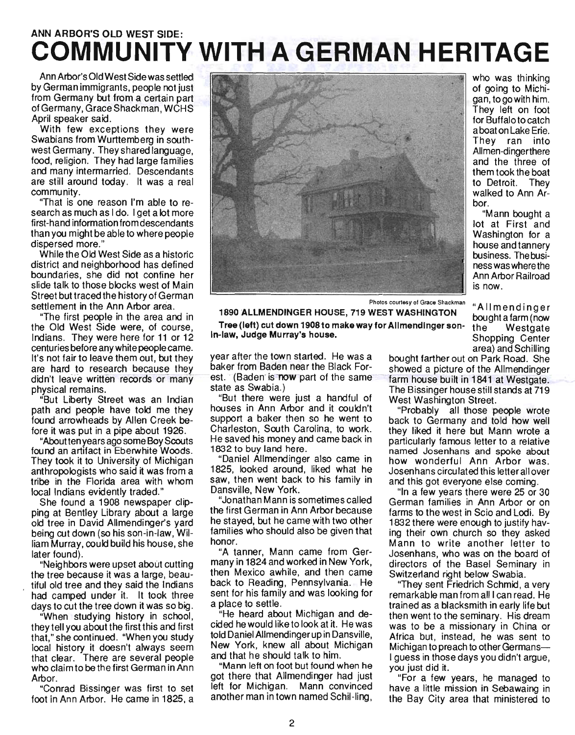# ANN ARBOR'S OLD WEST SIDE: **COMMUNITY WITH A GERMAN HERITAGE**

Ann Arbor's Old West Side was settled by German immigrants, people not just from Germany but from a certain part of Germany, GraceShackman, WCHS April speaker said.

With few exceptions they were Swabians from Wurttemberg in southwest Germany. They shared language, food, religion. They had large families and many intermarried. Descendants are still around today. It was a real community.

"That is one reason I'm able to research as much as I do. I get a lot more first-hand information from descendants than you might be able to where people dispersed more."

While the Old West Side as a historic district and neighborhood has defined boundaries, she did not confine her slide talk to those blocks west of Main Street but traced the history of German settlement in the Ann Arbor area.

"The first people in the area and in the Old West Side were, of course, Indians. They were here for 11 or 12 centuries before any white people came. It's not fair to leave them out, but they are hard to research because they didn't leave written records or many physical remains.

"But Liberty Street was an Indian path and people have told me they found arrowheads by Allen Creek before it was put in a pipe about 1926.

"About ten years ago some Boy Scouts found an artifact in Eberwhite Woods. They took it to University of Michigan anthropologists who said it was from a tribe in the Florida area with whom local Indians evidently traded."

She found a 1908 newspaper clipping at Bentley Library about a large old tree in David Allmendinger's yard being cut down (so his son-in-law, William Murray, could build his house, she later found).

"Neighbors were upset about cutting the tree because it was a large, beautiful old tree and they said the Indians had camped under it. It took three days to cut the tree down it was so big.

"When studying history in school, they tell you about the first this and first that," she continued. "When you study local history it doesn't always seem that clear. There are several people who claim to be the first German in Ann Arbor.

"Conrad Bissinger was first to set foot in Ann Arbor. He came in 1825, a



who was thinking of going to Michigan, to go with him. They left on foot for Buffalo to catch a boat on Lake Erie. They ran into Allmen-dingerthere and the three of them took the boat to Detroit. They walked to Ann Arbor.

"Mann bought a lot at First and Washington for a house and tannery business. The business was where the Ann Arbor Railroad is now.

"Allmendinger

Photos courtesy of Grace Shackman

1890 ALLMENDINGER HOUSE, 719 WEST WASHINGTON bought a farm (now Tree (left) cut down 1908to make way for Allmendinger son- the Westgate In-law, Judge Murray's house. Shopping Center

year after the town started. He was a bought farther out on Park Road. She baker from Baden near the Black For-<br>showed a picture of the Allmendinger est. (Baden is now part of the same farm house built in 1841 at Westgate.

"But there were just a handful of West Washington Street. houses in Ann Arbor and it couldn't "Probably all those people wrote support a baker then so he went to back to Germany and told how well Charleston, South Carolina, to work. they liked it here but Mann wrote a He saved his money and came back in particularly famous letter to a relative

1825, looked around, liked what he Josenhans circulated this letter all over saw, then went back to his family in and this got everyone else coming.

the first German in Ann Arbor because farms to the west in Scio and Lodi. By he stayed, but he came with two other 1832 there were enough to justify havfamilies who should also be given that ing their own church so they asked

many in 1824 and worked in New York, directors of the Basel Seminary in then Mexico awhile, and then came Switzerland right below Swabia. back to Reading, Pennsylvania. He "They sent Friedrich Schmid, a very sent for his family and was looking for remarkable man from all I can read. He

cided he would like to look at it. He was was to be a missionary in China or told Daniel Allmendinger up in Dansville, Africa but, instead, he was sent to New York, knew all about Michigan Michigan to preach to other Germans-

"Mann left on foot but found when he you just did it. got there that Allmendinger had just <sup>"</sup> "For a few years, he managed to left for Michigan. Mann convinced have a little mission in Sebawaing in

area) and Schilling state as Swabia.) . The Bissinger house still stands at 719

1832 to buy land here. named Josenhans and spoke about "Daniel Allmendinger also came in how wonderful Ann Arbor was.

Dansville, New York. "In a few years there were 25 or 30 "Jonathan Mann is sometimes called German families in Ann Arbor or on honor. **Mann** to write another letter to "A tanner, Mann came from Ger- Josenhans who was on the board of

a place to settle. trained as a blacksmith in early life but He heard about Michigan and de-<br>then went to the seminary. His dream and that he should talk to him. I guess in those days you didn't argue,

another man in town named Schil-ling, the Bay City area that ministered to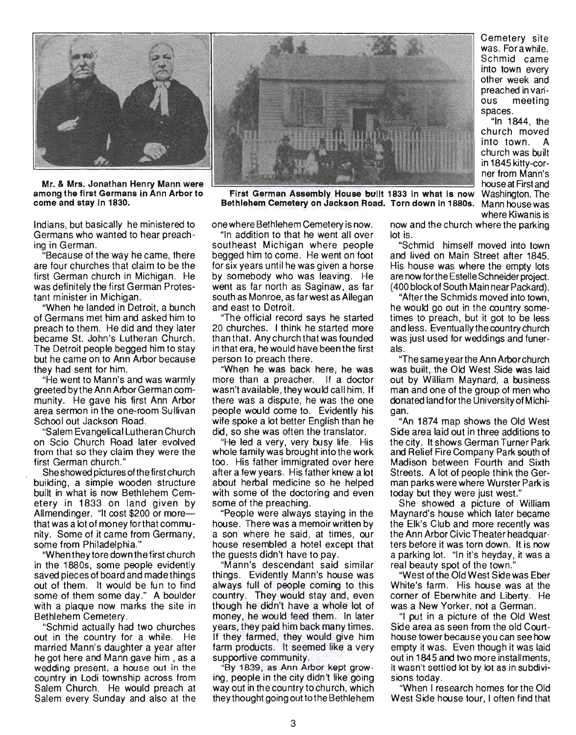

Mr. & Mrs. Jonathan Henry Mann were among the first Germans in Ann Arbor to come and stay In 1830.

Indians, but basically he ministered to Germans who wanted to hear preaching in German.

. "Because of the way he came, there are four churches that claim to be the first German church in Michigan. He was definitely the first German Protestant minister in Michigan.

"When he landed in Detroit, a bunch of Germans met him and asked him to preach to them. He did and they later became St. John's Lutheran Church. The Detroit people begged him to stay but he came on to Ann Arbor because they had sent for him.

"He went to Mann's and was warmly greeted by the Ann Arbor German community. He gave his first Ann Arbor area sermon in the one-room Sullivan School out Jackson Road.

"Salem Evangelical Lutheran Church on Scio Church Road later evolved from that so they claim they were the first German church."

She showed pictures of the first church building, a simple wooden structure built in what is now Bethlehem Cemetery in 1833 on land given by Allmendinger. "It cost \$200 or morethat was a lot of money forthat community. Some of it came from Germany, some from Philadelphia."

"When they tore down the first church in the 1880s, some people evidently saved pieces of board and made things out of them. It would be fun to find some of them some day." A boulder with a plaque now marks the site in Bethlehem Cemetery.

"Schmid actually had two churches out in the country for a while. He married Mann's daughter a year after he got here and Mann gave him , as a wedding present. a house out in the country in Lodi township across from Salem Church. He would preach at Salem every Sunday and also at the



First German Assembly House built 1833 in what is now Washington. The Bethlehem Cemetery on Jackson Road. Torn down In 18805. Mann house was

onewhere Bethlehem Cemetery is now.

"In addition to that he went all over southeast Michigan where people begged him to come. He went on foot for six years until he was given a horse by somebody who was leaving. He went as far north as Saginaw, as far south as Monroe, as far west as Allegan and east to Detroit.

"The official record says he started 20 churches. I think he started more than that. Any church that was fou nded in that era, he would have been the first person to preach there.

"When he was back here, he was more than a preacher. If a doctor wasn't available, they would call him. If there was a dispute, he was the one people would come to. Evidently his wife spoke a lot better English than he did, so she was often the translator.

"He led a very, very busy life. His whole family was brought into the work too. His father immigrated over here after a few years. His father knew a lot about herbal medicine so he helped with some of the doctoring and even some of the preaching.

"People were always staying in the house. There was a memoir written by a son where he said, at times, our house resembled a hotel except that the guests didn't have to pay.

"Mann's descendant said similar things. Evidently Mann's house was always full of people coming to this country. They· would stay and, even though he didn't have a whole lot of money, he would feed them. In later years, they paid him back many times. If they farmed, they would give him farm products. It seemed like a very supportive community.

"By 1839, as Ann Arbor kept growing, people in the city didn't like going way out in the country to church, which they thought going out to the Bethle hem now and the church where the parking lot is.

Cemetery site was. Forawhile, Schmid came into town every other week and preached in various meeting

"In 1844, the church moved into town. church was built in 1845 kitty-corner from Mann's house at First and

where Kiwanis is

spaces.

"Schmid himself moved into town and lived on Main Street after 1845. His house was where the empty lots are now for the Estelle Schneider project. (400 block of South Main near Packard).

"After the Schmids moved into town, he would go out in the country sometimes to preach, but it got to be less and less. Eventually the country church was just used for weddings and funerals.

''The same year the An n Arbor church was built, the Old West Side was laid out by William Maynard, a business man and one of the group of men who donated land forthe University of Michigan.

"An 1874 map shows the Old West Side area laid out in three additions to the city. It shows German Turner Park and Relief Fire Company Park south of Madison between Fourth and Sixth Streets. A lot of people think the German parks were where Wurster Park is today but they were just west."

She showed a picture of William Maynard's house which later became the Elk's Club and more recently was the Ann Arbor Civic Theater headquarters before it was torn down. It is now a parking lot. "In it's heyday, it was a real beauty spot of the town."

"West ofthe Old West Side was Eber White's farm. His house was at the corner of Eberwhite and Liberty. He was a New Yorker, not a German.

"I put in a picture of the Old West Side area as seen from the old Courthouse tower because you can see how empty it was. Even though it was laid out in 1845 and two more installments, it wasn't settled lot by lot as in subdivisions today.

"When I research homes for the Old West Side house tour, I often find that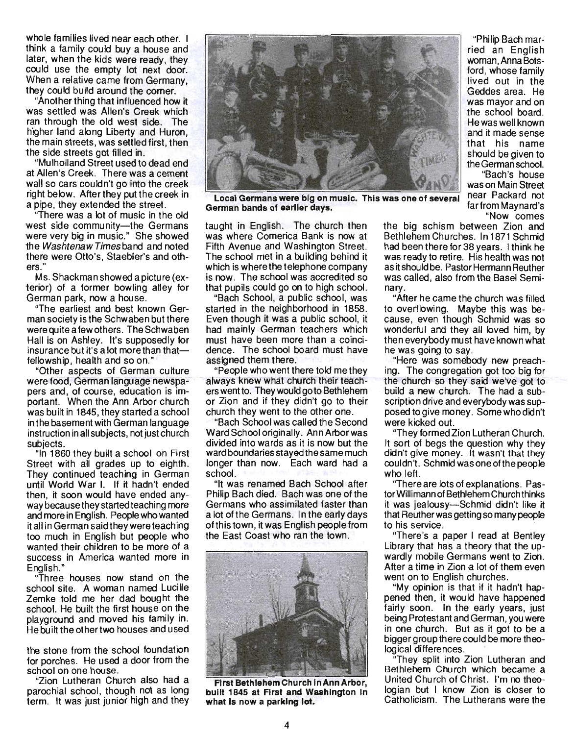whole families lived near each other. I think a family could buy a house and later, when the kids were ready, they could use the empty lot next door. When a relative came from Germany, they could build around the corner.

"Another thing that influenced how it was settled was Allen's Creek which ran through the old west side. The higher land along Liberty and Huron, the main streets, was settled first, then the side streets got filled in.

"Mulholland Street used to dead end at Allen's Creek. There was a cement wall so cars couldn't go into the creek right below. After they put the creek in a pipe, they extended the street.

There was a lot of music in the old west side community-the Germans were very big in music." She showed the WashtenawTimesband and noted there were Otto's, Staebler's and others."

Ms. Shackman showed a picture (exterior) of a former bowling alley for German park, now a house.

"The earliest and best known German society is the Schwaben but there were quite a few others. The Schwaben Hall is on Ashley. It's supposedly for  $i$ nsurance but it's a lot more than thatfellowship, health and so on."

"Other aspects of German culture were food, German language newspapers and, of course, education is important. When the Ann Arbor church was built in 1845, they started a school in the basement with German language instruction in all subjects, not just church subjects.

"In 1860 they built a school on First Street with all grades up to eighth. They continued teaching in German until World War I. If it hadn't ended then, it soon would have ended anyway because they started teaching more and more in English. People who wanted it all in German said they were teaching too much in English but people who wanted their children to be more of a success in America wanted more in English."

Three houses now stand on the school site. A woman named Lucille Zemke told me her dad bought the school. He built the first house on the playground and moved his family in. He built the other two houses and used

the stone from the school foundation for porches. He used a door from the school on one house.

"Zion Lutheran Church also had a parochial school, though not as long term. It was just junior high and they



Local Germans were big on music. This was one of several near Packard not German bands of earlier days. **Farman bands** of earlier days.

taught in English. The church then was where Comerica Bank is now at Fifth Avenue and Washington Street. The school met in a building behind it which is where the telephone company is now. The school was accredited so that pupils could go on to high school.

"Bach School, a public school, was started in the neighborhood in 1858. Even though it was a public school, it had mainly German teachers which must have been more than a coincidence. The school board must have assigned them there.

"People who went there told me they always knew what church their teachers went to. They would go to Bethlehem or Zion and if they didn't go to their church they went to the other one.

"Bach School was called the Second Ward School originally. AnnArborwas divided into wards as it is now but the ward boundaries stayed the same much longer than now. Each ward had a school.

"It was renamed Bach School after Philip Bach died. Bach was one of the Germans who assimilated faster than a lot of the Germans. In the early days of this town, it was English people from the East Coast who ran the town.



First Bethlehem Church In Ann Arbor, built 1845 at First and Washington In what is now a parking lot.

"Philip Bach married an English woman, Anna Botsford, whose family lived out in the Geddes area. He was mayor and on the school board. He was well known and it made sense that his name should be given to the German school.

"Bach's house was on Main Street "Now comes

the big schism between Zion and Bethlehem Churches. In 1871 Schmid had been there for 38 years. I think he was ready to retire. His health was not as it should be. Pastor Hermann Reuther was called. also from the Basel Seminary.

"After he came the church was filled to overflowing. Maybe this was because, even though Schmid was so wonderful and they all loved him, by then everybody must have known what he was going to say.

"Here was somebody new preaching. The congregation got too big for the church so they said we've got to build a new church. The had a subscription drive and everybody was supposed to give money. Some who didn't were kicked out.

"They formed Zion Lutheran Church. It sort of begs the question why they didn't give money. It wasn't that they couldn't. Schmid was one ofthe people who left.

"There are lots of explanations. Pastor Willimann of Bethlehem Church thinks it was jealousy-Schmid didn't like it that Reuther was getting so many people to his service.

"There's a paper I read at Bentley Library that has a theory that the upwardly mobile Germans went to Zion. After a time in Zion a lot of them even went on to English churches.

"My opinion is that if it hadn't happened then, it would have happened fairly soon. In the early years, just being Protestant and German, you were in one church. But as it got to be a bigger group there could be more theological differences.

"They split into Zion Lutheran and Bethlehem Church which became a United Church of Christ. I'm no theologian but I know Zion is closer to Catholicism. The Lutherans were the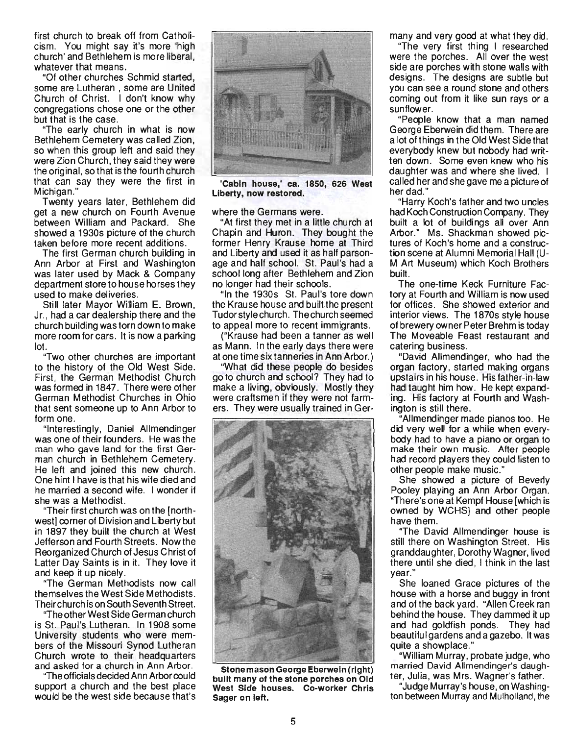first church to break off from Catholicism. You might say it's more 'high church' and Bethlehem is more liberal, whatever that means.

"Of other churches Schmid started, some are Lutheran , some are United Church of Christ. I don't know why congregations chose one or the other but that is the case.

"The early church in what is now Bethlehem Cemetery was called Zion, so when this group left and said they were Zion Church, they said they were the original, so that is the fourth church that can say they were the first in Michigan."

Twenty years later, Bethlehem did get a new church on Fourth Avenue between William and Packard. She showed a 1930s picture of the church taken before more recent additions.

The first German church building in Ann Arbor at First and Washington was later used by Mack & Company department store to house horses they used to make deliveries.

Still later Mayor William E. Brown, Jr., had a car dealership there and the church building was torn down to make more room for cars. It is now a parking lot.

"Two other churches are important to the history of the Old West Side. First, the German Methodist Church was formed in 1847. There were other German Methodist Churches in Ohio that sent someone up to Ann Arbor to form one.

"Interestingly, Daniel Allmendinger was one of their founders. He was the man who gave land for the first German church in Bethlehem Cemetery. He left and joined this new church. One hint I have is that his wife died and he married a second wife. I wonder if she was a Methodist.

"Their first church was on the [northwest] corner of Division and Liberty but in 1897 they built the church at West Jefferson and Fourth Streets. Nowthe Reorganized Church of Jesus Christ of Latter Day Saints is in it. They love it and keep it up nicely.

"The German Methodists now call themselves the West Side Methodists. Theirchurch is on South Seventh Street.

''The other West Side German church is St. Paul's Lutheran. In 1908 some University students who were members of the Missouri Synod Lutheran Church wrote to their headquarters and asked for a church in Ann Arbor.

"The officials decided Ann Arbor could support a church and the best place would be the west side because that's



'Cabin house,' ca. 1850, 626 West Liberty, now restored.

where the Germans were.

"At first they met in a little church at Chapin and Huron. They bought the former Henry Krause home at Third and Liberty and used it as half parsonage and half school. St. Paul's had a school long after Bethlehem and Zion no longer had their schools.

"In the 1930s St. Paul's tore down the Krause house and built the present Tudor style church. Thechurch seemed to appeal more to recent immigrants.

("Krause had been a tanner as well as Mann. In the early days there were at one time six tanneries in Ann Arbor.)

"What did these people do besides go to church and school? They had to make a living, obviously. Mostly they were craftsmen if they were not farmers. They were usually trained in Ger-



Stonemason George Eberwein (right) built many of the stone porches on Old West Side houses. Co-worker Chris Sager on left.

many and very good at what they did.

"The very first thing I researched were the porches. All over the west side are porches with stone walls with designs. The designs are subtle but you can see a round stone and others coming out from it like sun rays or a sunflower.

"People know that a man named George Eberwein did them. There are a lot of things in the Old West Side that everybody knew but nobody had written down. Some even knew who his daughter was and where she lived. I called her and she gave me a picture of her dad."

"Harry Koch's father and two uncles had Koch Construction Company. They built a lot of buildings all over Ann Arbor." Ms. Shackman showed pictures of Koch's home and a construction scene at Alumni Memorial Hall (U-M Art Museum) which Koch Brothers built.

The one-time Keck Furniture Factory at Fourth and William is now used for offices. She showed exterior and interior views. The 1870s style house of brewery owner Peter Brehm is today The Moveable Feast restaurant and catering business.

"David Allmendinger, who had the organ factory, started making organs upstairs in his house. His father-in-law had taught him how. He kept expanding. His factory at Fourth and Washington is still there.

"Allmendinger made pianos too. He did very well for a while when everybocly had to have a piano or organ to make their own music. After people had record players they could listen to other people make music."

She showed a picture of Beverly Pooley playing an Ann Arbor Organ. "There's one at Kempf House [which is owned by WCHS} and other people have them.

"The David Allmendinger house is still there on Washington Street. His granddaughter, Dorothy Wagner, lived there until she died, I think in the last year."

She loaned Grace pictures of the house with a horse and buggy in front and of the back yard. "Allen Creek ran behind the house. They dammed it up and had goldfish ponds. They had beautiful gardens and a gazebo. It was quite a showplace."

"William Murray, probate judge, who married David Allmendinger's daughter, Julia, was Mrs. Wagner's father.

"Judge Murray's house, on Washington between Murray and Mulholland, the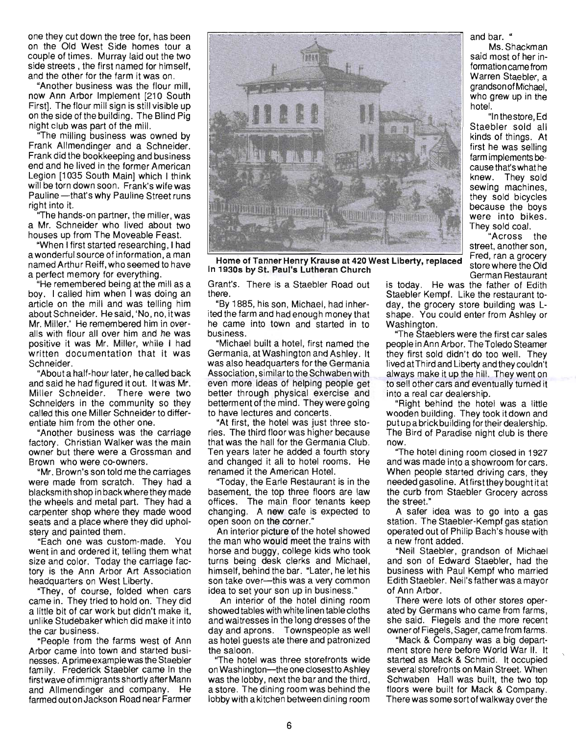one they cut down the tree for, has been on the Old West Side homes tour a couple of times. Murray laid out the two side streets, the first named for himself, and the other for the farm it was on.

"Another business was the flour mill, now Ann Arbor Implement [210 South First]. The flour mill sign is still visible up on the side of the building. The Blind Pig night club was part of the mill.

"The milling business was owned by Frank Allmendinger and a Schneider. Frank did the bookkeeping and business end and he lived in the former American Legion [1035 South Main] which I think will be torn down soon. Frank's wife was Pauline - that's why Pauline Street runs right into it.

The hands-on partner, the miller, was a Mr. Schneider who lived about two houses up from The Moveable Feast.

"When I first started researching, I had a wonderful source of information, a man named Arthur Reiff, who seemed to have a perfect memory for everything.

"He remembered being at the mill as a boy. I called him when I was doing an article on the mill and was telling him about Schneider. Hesaid, 'No, no, itwas Mr. Miller.' He remembered him in overalls with flour all over him and he was positive it was Mr. Miller, while I had written documentation that it was Schneider. .

"About a half-hour later, he called back and said he had figured it out. It was Mr. Miller Schneider. There were two Schneiders in the community so they called this one Miller Schneider to differentiate him from the other one.

"Another business was the carriage factory. Christian Walker was the main owner but there were a Grossman and Brown who were co-owners.

"Mr. Brown's son told me the carriages were made from scratch. They had a blacksm ith shop in back where they made the wheels and metal part. They had a carpenter shop where they made wood seats and a place where they did upholstery and painted them .

"Each one was custom-made. You went in and ordered it; telling them what size and color. Today the carriage factory is the Ann Arbor Art Association headquarters on West Liberty.

"They , of course, folded when cars came in. They tried to hold on. They did a little bit of car work but didn't make it, unlike Studebaker which did make it into the car business.

"People from the farms west of Ann Arbor came into town and started businesses. A prime example was the Staebler family. Frederick Staebler came in the first wave of immigrants shortly after Mann and Allmendinger and company. He farmed out on Jackson Road near Farmer



Fred, ran a grocery Home of Tanner Henry Krause at 420 West Liberty, replaced store where the Old In 1930s by St. Paul's Lutheran Church German Restaurant German Restaurant

Grant's. There is a Staebler Road out there.

"By 1885, his son, Michael, had inherited the farm and had enough money that he came into town and started in to business.

"Michael built a hotel, first named the Germania, at Washington and Ashley. It was also headquarters for the Germania Association, similar to the Schwaben with even more ideas of helping people get better through physical exercise and betterment of the mind. They were going to have lectures and concerts.

"At first, the hotel was just three stories. The third floor was higher because that was the hall for the Germania Club. Ten years later he added a fourth story and changed it all to hotel rooms. He renamed it the American Hotel.

"Today, the Earle Restaurant is in the basement, the top three floors are law offices. The main floor tenants keep changing. A new cafe is expected to open soon on the corner."

An interior picture of the hotel showed the man who would meet the trains with horse and buggy, college kids who took turns being desk clerks and Michael, himself, behind the bar. "Later, he let his son take over----this was a very common idea to set your son up in business."

An interior of the hotel dining room showed tables with white linen table cloths and waitresses in the long dresses of the day and aprons. Townspeople as well as hotel guests ate there and patronized the saloon .

"The hotel was three storefronts wide on Washington---the one closest to Ashley was the lobby, next the bar and the third, a store. The dining room was behind the lobby with a kitchen between dining room and bar. "

Ms. Shackman said most of her information came from Warren Staebler, a grandson of Michael, who grew up in the hotel.

"In the store, Ed Staebler sold all kinds of things. At first he was selling farm implements because that's what he knew. They sold sewing machines, they sold bicycles because the boys were into bikes . They sold coal.

"Across the street, another son,

is today. He was the father of Edith Staebler Kempf. Like the restaurant today, the grocery store building was Lshape. You could enter from Ashley or Washington.

"The Staeblers were the first car sales people in Ann Arbor. The Toledo Steamer they first sold didn't do too well. They lived at Third and Liberty and they couldn't always make it up the hill. They went on to sell other cars and eventually turned it into a real car dealership.

"Right behind the hotel was a little wooden building. They took it down and put up a brick building fortheir dealership. The Bird of Paradise night club is there now.

"The hotel dining room closed in 1927 and was made into a showroom for cars. When people started driving cars, they needed gasoline. At first they bought it at the curb from Staebler Grocery across the street."

A safer idea was to go into a gas station. The Staebler-Kempf gas station operated out of Philip Bach's house with a new front added.

"Neil Staebler, grandson of Michael and son of Edward Staebler, had the business with Paul Kempf who married Edith Staebler. Neil's father was a mayor of Ann Arbor.

There were lots of other stores operated by Germans who came from farms, she said. Fiegels and the more recent ownerof Fiegels, Sager, came from farms.

"Mack & Company was a big department store here before World War II. It started as Mack & Schmid. It occupied several storefronts on Main Street. When Schwaben Hall was built, the two top floors were built for Mack & Company. There was some sort of walkway over the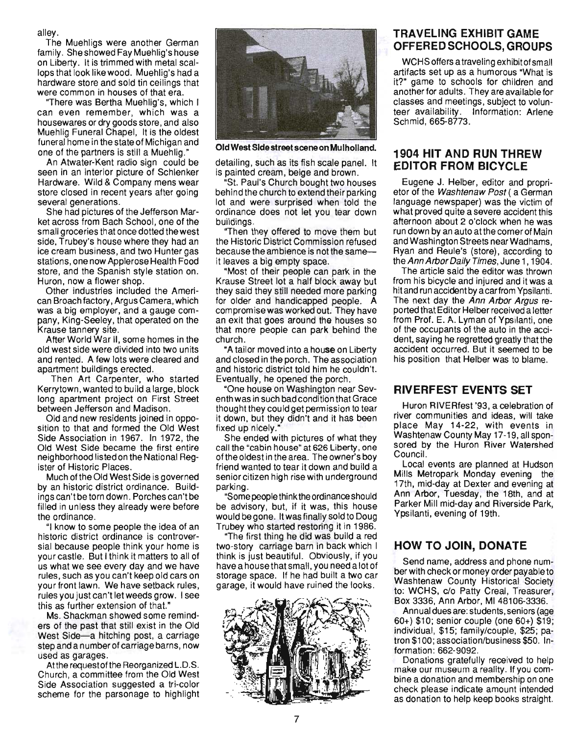alley.

The Muehligs were another German family. She showed Fay Muehlig's house on Liberty. It is trimmed with metal scallops that look like wood. Muehlig's had a hardware store and sold tin ceilings that were common in houses of that era.

"There was Bertha Muehlig's, which I can even remember, which was a housewares or dry goods store, and also Muehlig Funeral Chapel, It is the oldest funeral home in the state of Michigan and one of the partners is still a Muehlig."

An Atwater-Kent radio sign could be seen in an interior picture of Schlenker Hardware. Wild & Company mens wear store closed in recent years after going several generations.

She had pictures of the Jefferson Market across from Bach School, one of the small groceries that once dotted the west side, Trubey's house where they had an ice cream business, and two Hunter gas stations, one now Applerose Health Food store, and the Spanish style station on. Huron, now a flower shop.

Other industries included the American Broach factory, Argus Camera, which was a big employer, and a gauge company, King-Seeley, that operated on the Krause tannery site.

After World War II, some homes in the old west side were divided into two units and rented. A few lots were cleared and apartment buildings erected.

Then Art Carpenter, who started Kerry town, wanted to build a large, block long apartment project on First Street between Jefferson and Madison.

Old and new residents joined in opposition to that and formed the Old West Side Association in 1967. In 1972, the Old West Side became the first entire neighborhood listed on the National Register of Historic Places.

Much of the Old West Side is governed by an historic district ordinance. Buildings can't be torn down. Porches can't be filled in unless they already were before the ordinance.

"I know to some people the idea of an historic district ordinance is controversial because people think your home is your castle. But I think it matters to ali of us what we see every day and we have rules, such as you can't keep old cars on your front lawn. We have setback rules , rules you just can't let weeds grow. I see this as further extension of that."

Ms. Shackman showed some reminders of the past that still exist in the Old West Side-a hitching post, a carriage step and a number of carriage barns, now used as garages.

Atthe requestofthe Reorganized L.D.S. Church, a committee from the Old West Side Association suggested a tri-color scheme for the parsonage to highlight



Old West Side street scene on Mulholland.

detailing, such as its fish scale panel. It is painted cream, beige and brown.

"St. Paul's Church bought two houses behind the church to extend their parking lot and were surprised when told the ordinance does not let you tear down buildings.

"Then they offered to move them but the Historic District Commission refused because the ambience is not the sameit leaves a big empty space.

"Most of their people can park in the Krause Street lot a half block away but they said they stili needed more parking for older and handicapped people. A compromise was worked out. They have an exit that goes around the houses so that more people can park behind the church.

"A tailor moved into a house on Liberty and closed in the porch. The association and historic district told him he couldn't. Eventually, he opened the porch.

·One house on Washington near Seventh was in such bad condition that Grace thought they could get permission to tear it down, but they didn't and it has been fixed up nicely."

She ended with pictures of what they call the "cabin house" at 626 Liberty, one of the oldest in the area. The owner's boy friend wanted to tear it down and build a senior citizen high rise with underground parking.

"Somepeoplethinktheordinanceshould be advisory, but, if it was, this house would be gone. It was finally sold to Doug Trubey who started restoring it in 1986.

"The first thing he did was build a red two-story carriage barn in back which I think is just beautiful. Obviously, if you have a housethatsmall, you need alotof storage space. If he had built a two car garage, it would have ruined the looks.



# **TRAVELING EXHIBIT GAME OFFERED SCHOOLS, GROUPS**

WCHS offers a traveling exhibit of small artifacts set up as a humorous "What is it?" game to schools for children and another for adults. They are available for classes and meetings, subject to volunteer availability. Information: Arlene Schmid, 665-8773.

## **1904 HIT AND RUN THREW EDITOR FROM BICYCLE**

Eugene J. Helber, editor and proprietor of the Washtenaw Post (a German language newspaper) was the victim of what proved quite a severe accident this afternoon about 2 o'clock when he was run down by an auto at the corner of Main and Washington Streets near Wadhams, Ryan and Reule's (store), according to the Ann Arbor Daily Times, June 1, 1904.

The article said the editor was thrown from his bicycle and injured and it was a hit and run accident by a carfrom Ypsilanti. The next day the Ann Arbor Argus reported that Editor Helber received a letter from Prof. E. A. Lyman of Ypsilanti, one of the occupants of the auto in the accident, saying he regretted greatly that the accident occurred. But it seemed to be his position that Helber was to blame.

## **RIVERFEST EVENTS SET**

Huron RIVERfest '93, a celebration of river communities and ideas, will take place May 14-22, with events in Washtenaw County May 17-19, all sponsored by the Huron River Watershed Council.

Local events are planned at Hudson Mills Metropark Monday evening the 17th, mid-day at Dexter and evening at Ann Arbor, Tuesday, the 18th, and at Parker Mill mid-day and Riverside Park, Ypsilanti, evening of 19th.

## **HOW TO JOIN, DONATE**

Send name, address and phone number with check or money order payable to Washtenaw County Historical Society to: WCHS, c/o Patty Creal, Treasurer, Box 3336, Ann Arbor, MI 48106-3336.

Annual dues are: students, seniors (age 60+) \$10; senior couple (one 60+) \$19; individual, \$15; family/couple, \$25; patron \$100; association/business \$50. Information: 662-9092.

Donations gratefully received to help make our museum a reality. If you combine a donation and membership on one check please indicate amount intended as donation to help keep books straight.